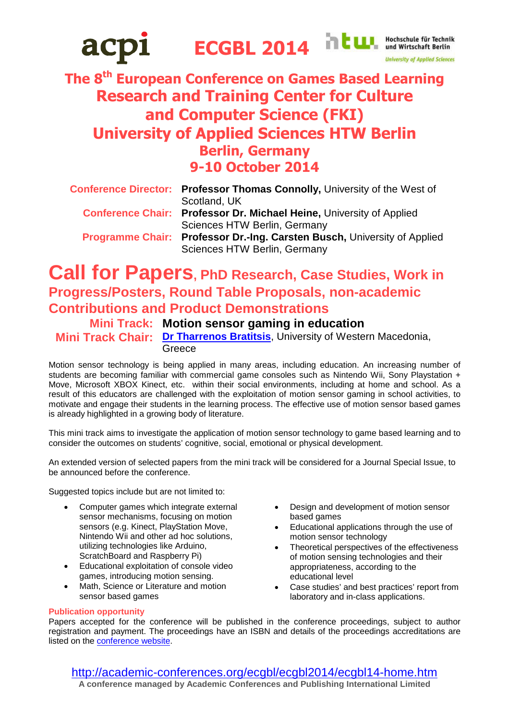

# **The 8th European Conference on Games Based Learning Research and Training Center for Culture and Computer Science (FKI) University of Applied Sciences HTW Berlin Berlin, Germany 9-10 October 2014**

| <b>Conference Director: Professor Thomas Connolly, University of the West of</b> |
|----------------------------------------------------------------------------------|
| Scotland, UK                                                                     |
| <b>Conference Chair: Professor Dr. Michael Heine, University of Applied</b>      |
| Sciences HTW Berlin, Germany                                                     |
| Programme Chair: Professor Dr.-Ing. Carsten Busch, University of Applied         |
| Sciences HTW Berlin, Germany                                                     |

## **Call for Papers, PhD Research, Case Studies, Work in Progress/Posters, Round Table Proposals, non-academic Contributions and Product Demonstrations**

**Mini Track: Motion sensor gaming in education Mini Track Chair: [Dr Tharrenos Bratitsis](mailto:bratitsis@uowm.gr?subject=ECGBL_2014-Mini-track-chair)**, University of Western Macedonia, **Greece** 

Motion sensor technology is being applied in many areas, including education. An increasing number of students are becoming familiar with commercial game consoles such as Nintendo Wii, Sony Playstation + Move, Microsoft XBOX Kinect, etc. within their social environments, including at home and school. As a result of this educators are challenged with the exploitation of motion sensor gaming in school activities, to motivate and engage their students in the learning process. The effective use of motion sensor based games is already highlighted in a growing body of literature.

This mini track aims to investigate the application of motion sensor technology to game based learning and to consider the outcomes on students' cognitive, social, emotional or physical development.

An extended version of selected papers from the mini track will be considered for a Journal Special Issue, to be announced before the conference.

Suggested topics include but are not limited to:

- Computer games which integrate external sensor mechanisms, focusing on motion sensors (e.g. Kinect, PlayStation Move, Nintendo Wii and other ad hoc solutions, utilizing technologies like Arduino, ScratchBoard and Raspberry Pi)
- Educational exploitation of console video games, introducing motion sensing.
- Math, Science or Literature and motion sensor based games
- Design and development of motion sensor based games
- **Educational applications through the use of** motion sensor technology
- Theoretical perspectives of the effectiveness of motion sensing technologies and their appropriateness, according to the educational level
- Case studies' and best practices' report from laboratory and in-class applications.

### **Publication opportunity**

Papers accepted for the conference will be published in the conference proceedings, subject to author registration and payment. The proceedings have an ISBN and details of the proceedings accreditations are listed on the [conference website.](http://academic-conferences.org/accreditations.htm)

http://academic-conferences.org/ecgbl/ecgbl2014/ecgbl14-home.htm **A conference managed by Academic Conferences and Publishing International Limited**